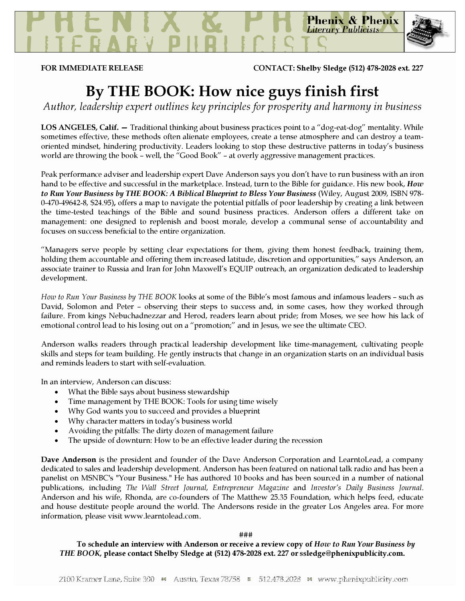**Phenix & Phenix Literary Publicists** 

FOR IMMEDIATE RELEASE CONTACT: Shelby Sledge (512) 478-2028 ext. 227

## By THE BOOK: How nice guys finish first

Author, leadership expert outlines key principles for prosperity and harmony in business

LOS ANGELES, Calif. – Traditional thinking about business practices point to a "dog-eat-dog" mentality. While sometimes effective, these methods often alienate employees, create a tense atmosphere and can destroy a teamoriented mindset, hindering productivity. Leaders looking to stop these destructive patterns in today's business world are throwing the book – well, the "Good Book" – at overly aggressive management practices.

Peak performance adviser and leadership expert Dave Anderson says you don't have to run business with an iron hand to be effective and successful in the marketplace. Instead, turn to the Bible for guidance. His new book, How to Run Your Business by THE BOOK: A Biblical Blueprint to Bless Your Business (Wiley, August 2009, ISBN 978-0-470-49642-8, \$24.95), offers a map to navigate the potential pitfalls of poor leadership by creating a link between the time-tested teachings of the Bible and sound business practices. Anderson offers a different take on management: one designed to replenish and boost morale, develop a communal sense of accountability and focuses on success beneficial to the entire organization.

"Managers serve people by setting clear expectations for them, giving them honest feedback, training them, holding them accountable and offering them increased latitude, discretion and opportunities," says Anderson, an associate trainer to Russia and Iran for John Maxwell's EQUIP outreach, an organization dedicated to leadership development.

How to Run Your Business by THE BOOK looks at some of the Bible's most famous and infamous leaders – such as David, Solomon and Peter – observing their steps to success and, in some cases, how they worked through failure. From kings Nebuchadnezzar and Herod, readers learn about pride; from Moses, we see how his lack of emotional control lead to his losing out on a "promotion;" and in Jesus, we see the ultimate CEO.

Anderson walks readers through practical leadership development like time-management, cultivating people skills and steps for team building. He gently instructs that change in an organization starts on an individual basis and reminds leaders to start with self-evaluation.

In an interview, Anderson can discuss:

- What the Bible says about business stewardship
- Time management by THE BOOK: Tools for using time wisely
- Why God wants you to succeed and provides a blueprint
- Why character matters in today's business world
- Avoiding the pitfalls: The dirty dozen of management failure
- The upside of downturn: How to be an effective leader during the recession

Dave Anderson is the president and founder of the Dave Anderson Corporation and LearntoLead, a company dedicated to sales and leadership development. Anderson has been featured on national talk radio and has been a panelist on MSNBC's "Your Business." He has authored 10 books and has been sourced in a number of national publications, including The Wall Street Journal, Entrepreneur Magazine and Investor's Daily Business Journal. Anderson and his wife, Rhonda, are co-founders of The Matthew 25.35 Foundation, which helps feed, educate and house destitute people around the world. The Andersons reside in the greater Los Angeles area. For more information, please visit www.learntolead.com.

###

To schedule an interview with Anderson or receive a review copy of How to Run Your Business by THE BOOK, please contact Shelby Sledge at (512) 478-2028 ext. 227 or ssledge@phenixpublicity.com.